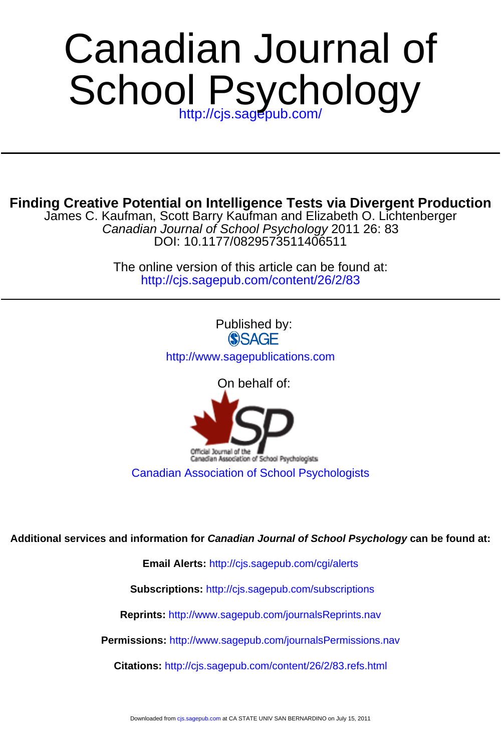# School Psychology Canadian Journal of

**Finding Creative Potential on Intelligence Tests via Divergent Production**

DOI: 10.1177/0829573511406511 Canadian Journal of School Psychology 2011 26: 83 James C. Kaufman, Scott Barry Kaufman and Elizabeth O. Lichtenberger

> <http://cjs.sagepub.com/content/26/2/83> The online version of this article can be found at:

> > Published by:<br>
> > SAGE <http://www.sagepublications.com>

> > > On behalf of:



Canadian Association of School Psychologists

**Additional services and information for Canadian Journal of School Psychology can be found at:**

**Email Alerts:** <http://cjs.sagepub.com/cgi/alerts>

**Subscriptions:** <http://cjs.sagepub.com/subscriptions>

**Reprints:** <http://www.sagepub.com/journalsReprints.nav>

**Permissions:** <http://www.sagepub.com/journalsPermissions.nav>

**Citations:** <http://cjs.sagepub.com/content/26/2/83.refs.html>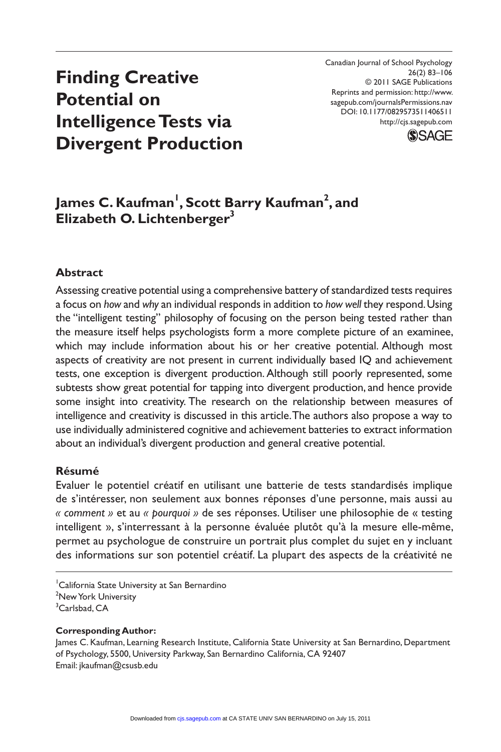Canadian Journal of School Psychology 26(2) 83–106 © 2011 SAGE Publications Reprints and permission: http://www. sagepub.com/journalsPermissions.nav DOI: 10.1177/0829573511406511 http://cjs.sagepub.com



## **Finding Creative Potential on Intelligence Tests via Divergent Production**

## James C. Kaufman<sup>'</sup>, Scott Barry Kaufman<sup>2</sup>, and **Elizabeth O. Lichtenberger3**

## **Abstract**

Assessing creative potential using a comprehensive battery of standardized tests requires a focus on *how* and *why* an individual responds in addition to *how well* they respond. Using the "intelligent testing" philosophy of focusing on the person being tested rather than the measure itself helps psychologists form a more complete picture of an examinee, which may include information about his or her creative potential. Although most aspects of creativity are not present in current individually based IQ and achievement tests, one exception is divergent production. Although still poorly represented, some subtests show great potential for tapping into divergent production, and hence provide some insight into creativity. The research on the relationship between measures of intelligence and creativity is discussed in this article. The authors also propose a way to use individually administered cognitive and achievement batteries to extract information about an individual's divergent production and general creative potential.

## **Résumé**

Evaluer le potentiel créatif en utilisant une batterie de tests standardisés implique de s'intéresser, non seulement aux bonnes réponses d'une personne, mais aussi au *« comment »* et au *« pourquoi »* de ses réponses. Utiliser une philosophie de « testing intelligent », s'interressant à la personne évaluée plutôt qu'à la mesure elle-même, permet au psychologue de construire un portrait plus complet du sujet en y incluant des informations sur son potentiel créatif. La plupart des aspects de la créativité ne

1 California State University at San Bernardino <sup>2</sup>New York University <sup>3</sup>Carlsbad, CA

#### **Corresponding Author:**

James C. Kaufman, Learning Research Institute, California State University at San Bernardino, Department of Psychology, 5500, University Parkway, San Bernardino California, CA 92407 Email: jkaufman@csusb.edu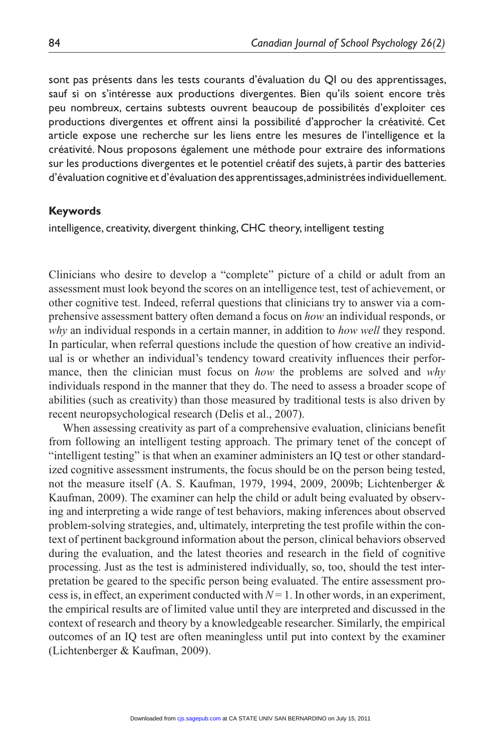sont pas présents dans les tests courants d'évaluation du QI ou des apprentissages, sauf si on s'intéresse aux productions divergentes. Bien qu'ils soient encore très peu nombreux, certains subtests ouvrent beaucoup de possibilités d'exploiter ces productions divergentes et offrent ainsi la possibilité d'approcher la créativité. Cet article expose une recherche sur les liens entre les mesures de l'intelligence et la créativité. Nous proposons également une méthode pour extraire des informations sur les productions divergentes et le potentiel créatif des sujets, à partir des batteries d'évaluation cognitive et d'évaluation des apprentissages, administrées individuellement.

#### **Keywords**

intelligence, creativity, divergent thinking, CHC theory, intelligent testing

Clinicians who desire to develop a "complete" picture of a child or adult from an assessment must look beyond the scores on an intelligence test, test of achievement, or other cognitive test. Indeed, referral questions that clinicians try to answer via a comprehensive assessment battery often demand a focus on *how* an individual responds, or *why* an individual responds in a certain manner, in addition to *how well* they respond. In particular, when referral questions include the question of how creative an individual is or whether an individual's tendency toward creativity influences their performance, then the clinician must focus on *how* the problems are solved and *why* individuals respond in the manner that they do. The need to assess a broader scope of abilities (such as creativity) than those measured by traditional tests is also driven by recent neuropsychological research (Delis et al., 2007).

When assessing creativity as part of a comprehensive evaluation, clinicians benefit from following an intelligent testing approach. The primary tenet of the concept of "intelligent testing" is that when an examiner administers an IQ test or other standardized cognitive assessment instruments, the focus should be on the person being tested, not the measure itself (A. S. Kaufman, 1979, 1994, 2009, 2009b; Lichtenberger & Kaufman, 2009). The examiner can help the child or adult being evaluated by observing and interpreting a wide range of test behaviors, making inferences about observed problem-solving strategies, and, ultimately, interpreting the test profile within the context of pertinent background information about the person, clinical behaviors observed during the evaluation, and the latest theories and research in the field of cognitive processing. Just as the test is administered individually, so, too, should the test interpretation be geared to the specific person being evaluated. The entire assessment process is, in effect, an experiment conducted with  $N = 1$ . In other words, in an experiment, the empirical results are of limited value until they are interpreted and discussed in the context of research and theory by a knowledgeable researcher. Similarly, the empirical outcomes of an IQ test are often meaningless until put into context by the examiner (Lichtenberger & Kaufman, 2009).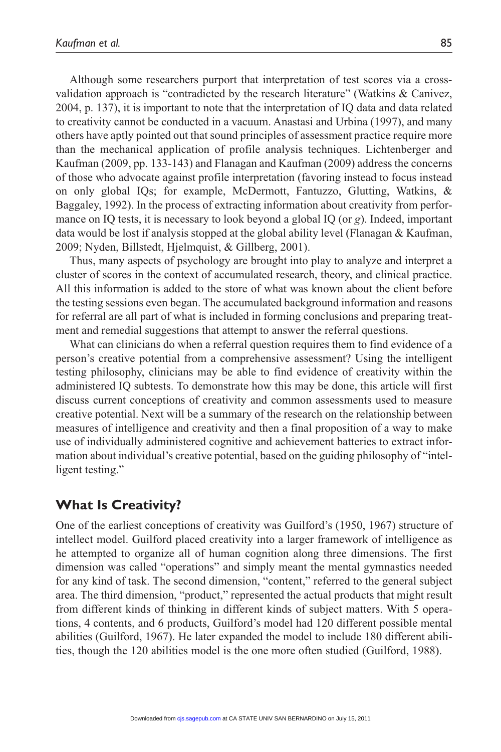Although some researchers purport that interpretation of test scores via a crossvalidation approach is "contradicted by the research literature" (Watkins & Canivez, 2004, p. 137), it is important to note that the interpretation of IQ data and data related to creativity cannot be conducted in a vacuum. Anastasi and Urbina (1997), and many others have aptly pointed out that sound principles of assessment practice require more than the mechanical application of profile analysis techniques. Lichtenberger and Kaufman (2009, pp. 133-143) and Flanagan and Kaufman (2009) address the concerns of those who advocate against profile interpretation (favoring instead to focus instead on only global IQs; for example, McDermott, Fantuzzo, Glutting, Watkins, & Baggaley, 1992). In the process of extracting information about creativity from performance on IQ tests, it is necessary to look beyond a global IQ (or *g*). Indeed, important data would be lost if analysis stopped at the global ability level (Flanagan & Kaufman, 2009; Nyden, Billstedt, Hjelmquist, & Gillberg, 2001).

Thus, many aspects of psychology are brought into play to analyze and interpret a cluster of scores in the context of accumulated research, theory, and clinical practice. All this information is added to the store of what was known about the client before the testing sessions even began. The accumulated background information and reasons for referral are all part of what is included in forming conclusions and preparing treatment and remedial suggestions that attempt to answer the referral questions.

What can clinicians do when a referral question requires them to find evidence of a person's creative potential from a comprehensive assessment? Using the intelligent testing philosophy, clinicians may be able to find evidence of creativity within the administered IQ subtests. To demonstrate how this may be done, this article will first discuss current conceptions of creativity and common assessments used to measure creative potential. Next will be a summary of the research on the relationship between measures of intelligence and creativity and then a final proposition of a way to make use of individually administered cognitive and achievement batteries to extract information about individual's creative potential, based on the guiding philosophy of "intelligent testing."

## **What Is Creativity?**

One of the earliest conceptions of creativity was Guilford's (1950, 1967) structure of intellect model. Guilford placed creativity into a larger framework of intelligence as he attempted to organize all of human cognition along three dimensions. The first dimension was called "operations" and simply meant the mental gymnastics needed for any kind of task. The second dimension, "content," referred to the general subject area. The third dimension, "product," represented the actual products that might result from different kinds of thinking in different kinds of subject matters. With 5 operations, 4 contents, and 6 products, Guilford's model had 120 different possible mental abilities (Guilford, 1967). He later expanded the model to include 180 different abilities, though the 120 abilities model is the one more often studied (Guilford, 1988).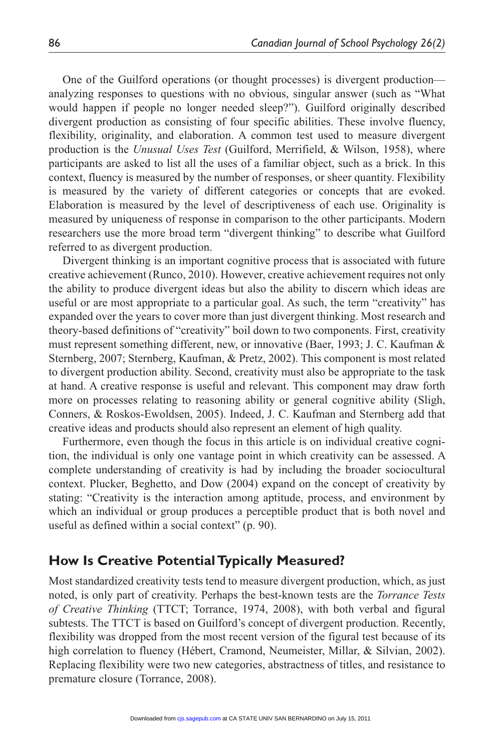One of the Guilford operations (or thought processes) is divergent production analyzing responses to questions with no obvious, singular answer (such as "What would happen if people no longer needed sleep?"). Guilford originally described divergent production as consisting of four specific abilities. These involve fluency, flexibility, originality, and elaboration. A common test used to measure divergent production is the *Unusual Uses Test* (Guilford, Merrifield, & Wilson, 1958), where participants are asked to list all the uses of a familiar object, such as a brick. In this context, fluency is measured by the number of responses, or sheer quantity. Flexibility is measured by the variety of different categories or concepts that are evoked. Elaboration is measured by the level of descriptiveness of each use. Originality is measured by uniqueness of response in comparison to the other participants. Modern researchers use the more broad term "divergent thinking" to describe what Guilford referred to as divergent production.

Divergent thinking is an important cognitive process that is associated with future creative achievement (Runco, 2010). However, creative achievement requires not only the ability to produce divergent ideas but also the ability to discern which ideas are useful or are most appropriate to a particular goal. As such, the term "creativity" has expanded over the years to cover more than just divergent thinking. Most research and theory-based definitions of "creativity" boil down to two components. First, creativity must represent something different, new, or innovative (Baer, 1993; J. C. Kaufman & Sternberg, 2007; Sternberg, Kaufman, & Pretz, 2002). This component is most related to divergent production ability. Second, creativity must also be appropriate to the task at hand. A creative response is useful and relevant. This component may draw forth more on processes relating to reasoning ability or general cognitive ability (Sligh, Conners, & Roskos-Ewoldsen, 2005). Indeed, J. C. Kaufman and Sternberg add that creative ideas and products should also represent an element of high quality.

Furthermore, even though the focus in this article is on individual creative cognition, the individual is only one vantage point in which creativity can be assessed. A complete understanding of creativity is had by including the broader sociocultural context. Plucker, Beghetto, and Dow (2004) expand on the concept of creativity by stating: "Creativity is the interaction among aptitude, process, and environment by which an individual or group produces a perceptible product that is both novel and useful as defined within a social context" (p. 90).

## **How Is Creative Potential Typically Measured?**

Most standardized creativity tests tend to measure divergent production, which, as just noted, is only part of creativity. Perhaps the best-known tests are the *Torrance Tests of Creative Thinking* (TTCT; Torrance, 1974, 2008), with both verbal and figural subtests. The TTCT is based on Guilford's concept of divergent production. Recently, flexibility was dropped from the most recent version of the figural test because of its high correlation to fluency (Hébert, Cramond, Neumeister, Millar, & Silvian, 2002). Replacing flexibility were two new categories, abstractness of titles, and resistance to premature closure (Torrance, 2008).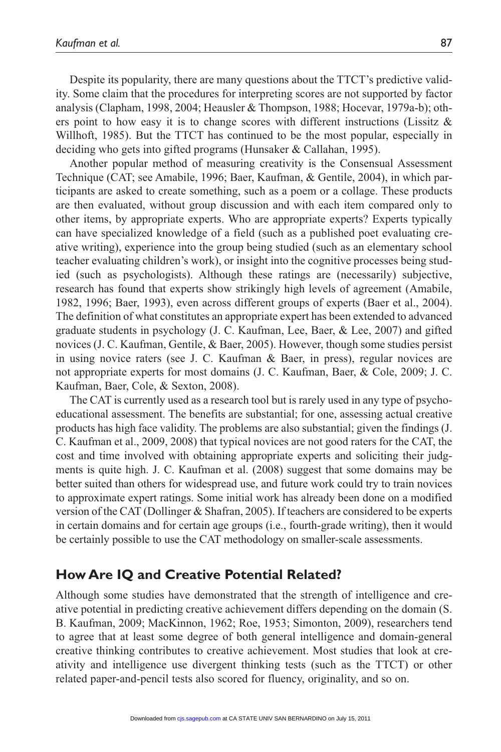Despite its popularity, there are many questions about the TTCT's predictive validity. Some claim that the procedures for interpreting scores are not supported by factor analysis (Clapham, 1998, 2004; Heausler & Thompson, 1988; Hocevar, 1979a-b); others point to how easy it is to change scores with different instructions (Lissitz  $\&$ Willhoft, 1985). But the TTCT has continued to be the most popular, especially in deciding who gets into gifted programs (Hunsaker & Callahan, 1995).

Another popular method of measuring creativity is the Consensual Assessment Technique (CAT; see Amabile, 1996; Baer, Kaufman, & Gentile, 2004), in which participants are asked to create something, such as a poem or a collage. These products are then evaluated, without group discussion and with each item compared only to other items, by appropriate experts. Who are appropriate experts? Experts typically can have specialized knowledge of a field (such as a published poet evaluating creative writing), experience into the group being studied (such as an elementary school teacher evaluating children's work), or insight into the cognitive processes being studied (such as psychologists). Although these ratings are (necessarily) subjective, research has found that experts show strikingly high levels of agreement (Amabile, 1982, 1996; Baer, 1993), even across different groups of experts (Baer et al., 2004). The definition of what constitutes an appropriate expert has been extended to advanced graduate students in psychology (J. C. Kaufman, Lee, Baer, & Lee, 2007) and gifted novices (J. C. Kaufman, Gentile, & Baer, 2005). However, though some studies persist in using novice raters (see J. C. Kaufman & Baer, in press), regular novices are not appropriate experts for most domains (J. C. Kaufman, Baer, & Cole, 2009; J. C. Kaufman, Baer, Cole, & Sexton, 2008).

The CAT is currently used as a research tool but is rarely used in any type of psychoeducational assessment. The benefits are substantial; for one, assessing actual creative products has high face validity. The problems are also substantial; given the findings (J. C. Kaufman et al., 2009, 2008) that typical novices are not good raters for the CAT, the cost and time involved with obtaining appropriate experts and soliciting their judgments is quite high. J. C. Kaufman et al. (2008) suggest that some domains may be better suited than others for widespread use, and future work could try to train novices to approximate expert ratings. Some initial work has already been done on a modified version of the CAT (Dollinger & Shafran, 2005). If teachers are considered to be experts in certain domains and for certain age groups (i.e., fourth-grade writing), then it would be certainly possible to use the CAT methodology on smaller-scale assessments.

## **How Are IQ and Creative Potential Related?**

Although some studies have demonstrated that the strength of intelligence and creative potential in predicting creative achievement differs depending on the domain (S. B. Kaufman, 2009; MacKinnon, 1962; Roe, 1953; Simonton, 2009), researchers tend to agree that at least some degree of both general intelligence and domain-general creative thinking contributes to creative achievement. Most studies that look at creativity and intelligence use divergent thinking tests (such as the TTCT) or other related paper-and-pencil tests also scored for fluency, originality, and so on.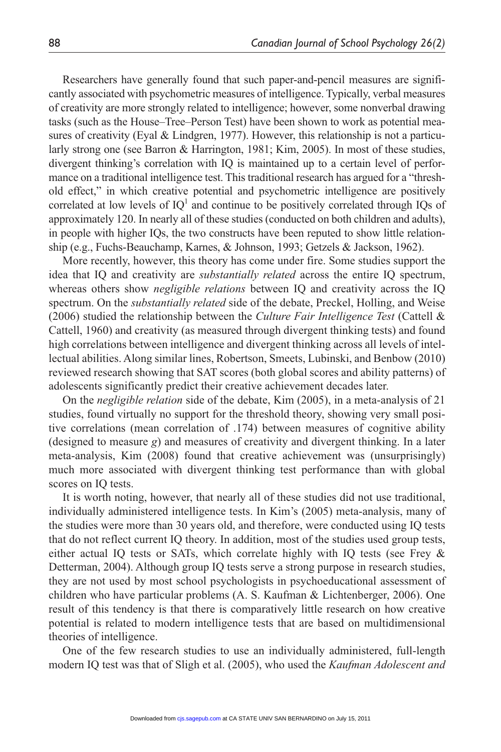Researchers have generally found that such paper-and-pencil measures are significantly associated with psychometric measures of intelligence. Typically, verbal measures of creativity are more strongly related to intelligence; however, some nonverbal drawing tasks (such as the House–Tree–Person Test) have been shown to work as potential measures of creativity (Eyal & Lindgren, 1977). However, this relationship is not a particularly strong one (see Barron & Harrington, 1981; Kim, 2005). In most of these studies, divergent thinking's correlation with IQ is maintained up to a certain level of performance on a traditional intelligence test. This traditional research has argued for a "threshold effect," in which creative potential and psychometric intelligence are positively correlated at low levels of  $IQ<sup>1</sup>$  and continue to be positively correlated through IQs of approximately 120. In nearly all of these studies (conducted on both children and adults), in people with higher IQs, the two constructs have been reputed to show little relationship (e.g., Fuchs-Beauchamp, Karnes, & Johnson, 1993; Getzels & Jackson, 1962).

More recently, however, this theory has come under fire. Some studies support the idea that IQ and creativity are *substantially related* across the entire IQ spectrum, whereas others show *negligible relations* between IQ and creativity across the IQ spectrum. On the *substantially related* side of the debate, Preckel, Holling, and Weise (2006) studied the relationship between the *Culture Fair Intelligence Test* (Cattell & Cattell, 1960) and creativity (as measured through divergent thinking tests) and found high correlations between intelligence and divergent thinking across all levels of intellectual abilities. Along similar lines, Robertson, Smeets, Lubinski, and Benbow (2010) reviewed research showing that SAT scores (both global scores and ability patterns) of adolescents significantly predict their creative achievement decades later.

On the *negligible relation* side of the debate, Kim (2005), in a meta-analysis of 21 studies, found virtually no support for the threshold theory, showing very small positive correlations (mean correlation of .174) between measures of cognitive ability (designed to measure *g*) and measures of creativity and divergent thinking. In a later meta-analysis, Kim (2008) found that creative achievement was (unsurprisingly) much more associated with divergent thinking test performance than with global scores on IQ tests.

It is worth noting, however, that nearly all of these studies did not use traditional, individually administered intelligence tests. In Kim's (2005) meta-analysis, many of the studies were more than 30 years old, and therefore, were conducted using IQ tests that do not reflect current IQ theory. In addition, most of the studies used group tests, either actual IQ tests or SATs, which correlate highly with IQ tests (see Frey & Detterman, 2004). Although group IQ tests serve a strong purpose in research studies, they are not used by most school psychologists in psychoeducational assessment of children who have particular problems (A. S. Kaufman & Lichtenberger, 2006). One result of this tendency is that there is comparatively little research on how creative potential is related to modern intelligence tests that are based on multidimensional theories of intelligence.

One of the few research studies to use an individually administered, full-length modern IQ test was that of Sligh et al. (2005), who used the *Kaufman Adolescent and*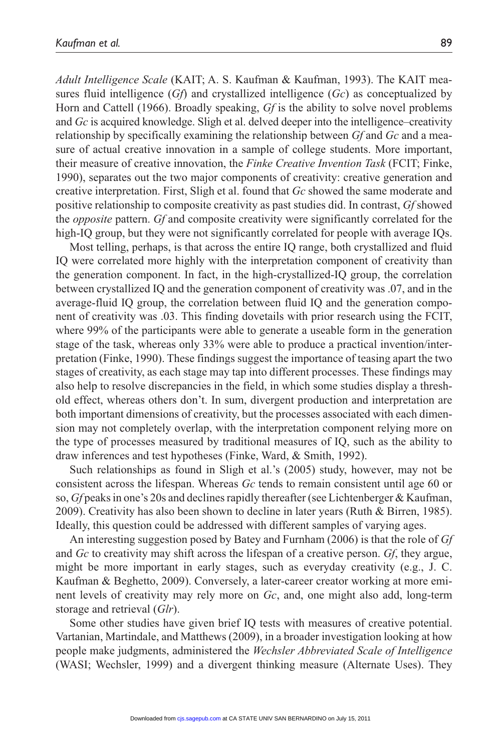*Adult Intelligence Scale* (KAIT; A. S. Kaufman & Kaufman, 1993). The KAIT measures fluid intelligence (*Gf*) and crystallized intelligence (*Gc*) as conceptualized by Horn and Cattell (1966). Broadly speaking, *Gf* is the ability to solve novel problems and *Gc* is acquired knowledge. Sligh et al. delved deeper into the intelligence–creativity relationship by specifically examining the relationship between *Gf* and *Gc* and a measure of actual creative innovation in a sample of college students. More important, their measure of creative innovation, the *Finke Creative Invention Task* (FCIT; Finke, 1990), separates out the two major components of creativity: creative generation and creative interpretation. First, Sligh et al. found that *Gc* showed the same moderate and positive relationship to composite creativity as past studies did. In contrast, *Gf* showed the *opposite* pattern. *Gf* and composite creativity were significantly correlated for the high-IQ group, but they were not significantly correlated for people with average IQs.

Most telling, perhaps, is that across the entire IQ range, both crystallized and fluid IQ were correlated more highly with the interpretation component of creativity than the generation component. In fact, in the high-crystallized-IQ group, the correlation between crystallized IQ and the generation component of creativity was .07, and in the average-fluid IQ group, the correlation between fluid IQ and the generation component of creativity was .03. This finding dovetails with prior research using the FCIT, where 99% of the participants were able to generate a useable form in the generation stage of the task, whereas only 33% were able to produce a practical invention/interpretation (Finke, 1990). These findings suggest the importance of teasing apart the two stages of creativity, as each stage may tap into different processes. These findings may also help to resolve discrepancies in the field, in which some studies display a threshold effect, whereas others don't. In sum, divergent production and interpretation are both important dimensions of creativity, but the processes associated with each dimension may not completely overlap, with the interpretation component relying more on the type of processes measured by traditional measures of IQ, such as the ability to draw inferences and test hypotheses (Finke, Ward, & Smith, 1992).

Such relationships as found in Sligh et al.'s (2005) study, however, may not be consistent across the lifespan. Whereas *Gc* tends to remain consistent until age 60 or so, *Gf* peaks in one's 20s and declines rapidly thereafter (see Lichtenberger & Kaufman, 2009). Creativity has also been shown to decline in later years (Ruth & Birren, 1985). Ideally, this question could be addressed with different samples of varying ages.

An interesting suggestion posed by Batey and Furnham (2006) is that the role of *Gf* and *Gc* to creativity may shift across the lifespan of a creative person. *Gf*, they argue, might be more important in early stages, such as everyday creativity (e.g., J. C. Kaufman & Beghetto, 2009). Conversely, a later-career creator working at more eminent levels of creativity may rely more on *Gc*, and, one might also add, long-term storage and retrieval (*Glr*).

Some other studies have given brief IQ tests with measures of creative potential. Vartanian, Martindale, and Matthews (2009), in a broader investigation looking at how people make judgments, administered the *Wechsler Abbreviated Scale of Intelligence* (WASI; Wechsler, 1999) and a divergent thinking measure (Alternate Uses). They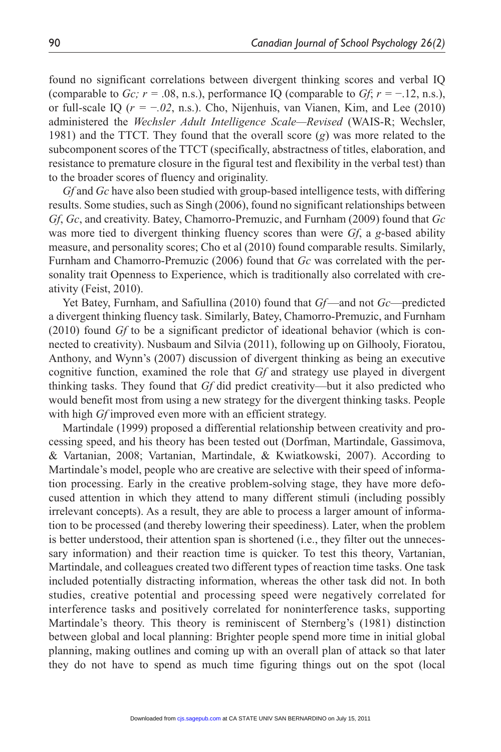found no significant correlations between divergent thinking scores and verbal IQ (comparable to *Gc; r* = .08, n.s.), performance IQ (comparable to *Gf; r* = -.12, n.s.), or full-scale IQ (*r =* −*.02*, n.s.). Cho, Nijenhuis, van Vianen, Kim, and Lee (2010) administered the *Wechsler Adult Intelligence Scale—Revised* (WAIS-R; Wechsler, 1981) and the TTCT. They found that the overall score (*g*) was more related to the subcomponent scores of the TTCT (specifically, abstractness of titles, elaboration, and resistance to premature closure in the figural test and flexibility in the verbal test) than to the broader scores of fluency and originality.

*Gf* and *Gc* have also been studied with group-based intelligence tests, with differing results. Some studies, such as Singh (2006), found no significant relationships between *Gf*, *Gc*, and creativity. Batey, Chamorro-Premuzic, and Furnham (2009) found that *Gc*  was more tied to divergent thinking fluency scores than were *Gf*, a *g*-based ability measure, and personality scores; Cho et al (2010) found comparable results. Similarly, Furnham and Chamorro-Premuzic (2006) found that *Gc* was correlated with the personality trait Openness to Experience, which is traditionally also correlated with creativity (Feist, 2010).

Yet Batey, Furnham, and Safiullina (2010) found that *Gf*—and not *Gc*—predicted a divergent thinking fluency task. Similarly, Batey, Chamorro-Premuzic, and Furnham (2010) found *Gf* to be a significant predictor of ideational behavior (which is connected to creativity). Nusbaum and Silvia (2011), following up on Gilhooly, Fioratou, Anthony, and Wynn's (2007) discussion of divergent thinking as being an executive cognitive function, examined the role that *Gf* and strategy use played in divergent thinking tasks. They found that *Gf* did predict creativity—but it also predicted who would benefit most from using a new strategy for the divergent thinking tasks. People with high *Gf* improved even more with an efficient strategy.

Martindale (1999) proposed a differential relationship between creativity and processing speed, and his theory has been tested out (Dorfman, Martindale, Gassimova, & Vartanian, 2008; Vartanian, Martindale, & Kwiatkowski, 2007). According to Martindale's model, people who are creative are selective with their speed of information processing. Early in the creative problem-solving stage, they have more defocused attention in which they attend to many different stimuli (including possibly irrelevant concepts). As a result, they are able to process a larger amount of information to be processed (and thereby lowering their speediness). Later, when the problem is better understood, their attention span is shortened (i.e., they filter out the unnecessary information) and their reaction time is quicker. To test this theory, Vartanian, Martindale, and colleagues created two different types of reaction time tasks. One task included potentially distracting information, whereas the other task did not. In both studies, creative potential and processing speed were negatively correlated for interference tasks and positively correlated for noninterference tasks, supporting Martindale's theory. This theory is reminiscent of Sternberg's (1981) distinction between global and local planning: Brighter people spend more time in initial global planning, making outlines and coming up with an overall plan of attack so that later they do not have to spend as much time figuring things out on the spot (local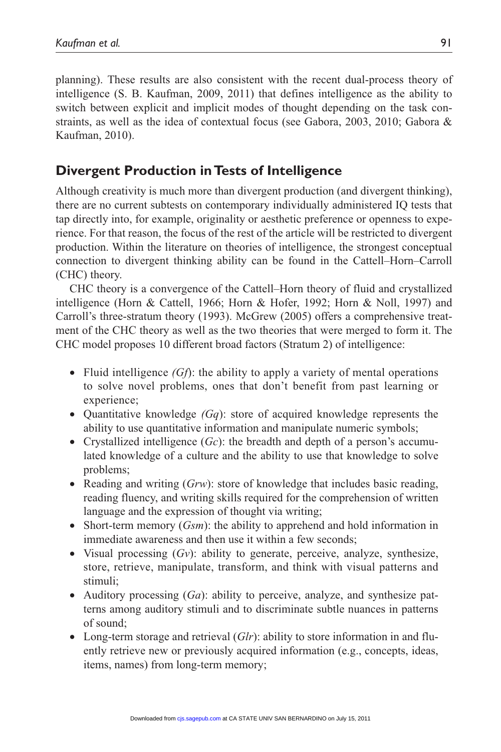planning). These results are also consistent with the recent dual-process theory of intelligence (S. B. Kaufman, 2009, 2011) that defines intelligence as the ability to switch between explicit and implicit modes of thought depending on the task constraints, as well as the idea of contextual focus (see Gabora, 2003, 2010; Gabora & Kaufman, 2010).

## **Divergent Production in Tests of Intelligence**

Although creativity is much more than divergent production (and divergent thinking), there are no current subtests on contemporary individually administered IQ tests that tap directly into, for example, originality or aesthetic preference or openness to experience. For that reason, the focus of the rest of the article will be restricted to divergent production. Within the literature on theories of intelligence, the strongest conceptual connection to divergent thinking ability can be found in the Cattell–Horn–Carroll (CHC) theory.

CHC theory is a convergence of the Cattell–Horn theory of fluid and crystallized intelligence (Horn & Cattell, 1966; Horn & Hofer, 1992; Horn & Noll, 1997) and Carroll's three-stratum theory (1993). McGrew (2005) offers a comprehensive treatment of the CHC theory as well as the two theories that were merged to form it. The CHC model proposes 10 different broad factors (Stratum 2) of intelligence:

- Fluid intelligence *(Gf*): the ability to apply a variety of mental operations to solve novel problems, ones that don't benefit from past learning or experience;
- Quantitative knowledge *(Gq*): store of acquired knowledge represents the ability to use quantitative information and manipulate numeric symbols;
- Crystallized intelligence (*Gc*): the breadth and depth of a person's accumulated knowledge of a culture and the ability to use that knowledge to solve problems;
- Reading and writing (*Grw*): store of knowledge that includes basic reading, reading fluency, and writing skills required for the comprehension of written language and the expression of thought via writing;
- Short-term memory (*Gsm*): the ability to apprehend and hold information in immediate awareness and then use it within a few seconds;
- Visual processing (*Gv*): ability to generate, perceive, analyze, synthesize, store, retrieve, manipulate, transform, and think with visual patterns and stimuli;
- Auditory processing (*Ga*): ability to perceive, analyze, and synthesize patterns among auditory stimuli and to discriminate subtle nuances in patterns of sound;
- Long-term storage and retrieval (*Glr*): ability to store information in and fluently retrieve new or previously acquired information (e.g., concepts, ideas, items, names) from long-term memory;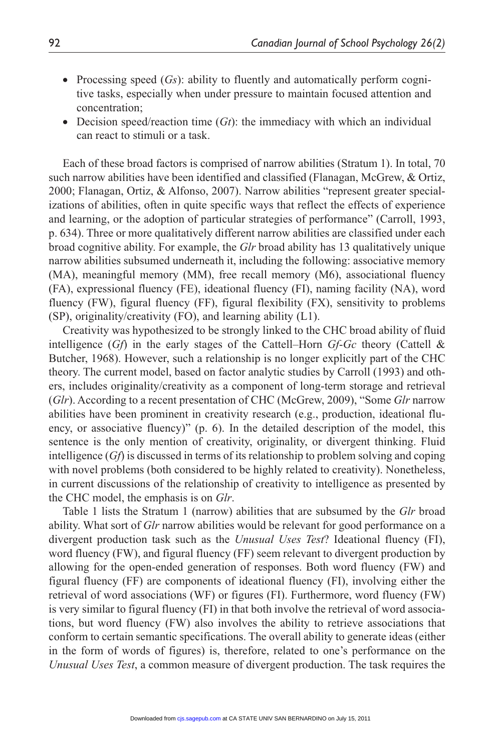- Processing speed (*Gs*): ability to fluently and automatically perform cognitive tasks, especially when under pressure to maintain focused attention and concentration;
- Decision speed/reaction time (*Gt*): the immediacy with which an individual can react to stimuli or a task.

Each of these broad factors is comprised of narrow abilities (Stratum 1). In total, 70 such narrow abilities have been identified and classified (Flanagan, McGrew, & Ortiz, 2000; Flanagan, Ortiz, & Alfonso, 2007). Narrow abilities "represent greater specializations of abilities, often in quite specific ways that reflect the effects of experience and learning, or the adoption of particular strategies of performance" (Carroll, 1993, p. 634). Three or more qualitatively different narrow abilities are classified under each broad cognitive ability. For example, the *Glr* broad ability has 13 qualitatively unique narrow abilities subsumed underneath it, including the following: associative memory (MA), meaningful memory (MM), free recall memory (M6), associational fluency (FA), expressional fluency (FE), ideational fluency (FI), naming facility (NA), word fluency (FW), figural fluency (FF), figural flexibility (FX), sensitivity to problems (SP), originality/creativity (FO), and learning ability (L1).

Creativity was hypothesized to be strongly linked to the CHC broad ability of fluid intelligence (*Gf*) in the early stages of the Cattell–Horn *Gf*-*Gc* theory (Cattell & Butcher, 1968). However, such a relationship is no longer explicitly part of the CHC theory. The current model, based on factor analytic studies by Carroll (1993) and others, includes originality/creativity as a component of long-term storage and retrieval (*Glr*). According to a recent presentation of CHC (McGrew, 2009), "Some *Glr* narrow abilities have been prominent in creativity research (e.g., production, ideational fluency, or associative fluency)" (p. 6). In the detailed description of the model, this sentence is the only mention of creativity, originality, or divergent thinking. Fluid intelligence (*Gf*) is discussed in terms of its relationship to problem solving and coping with novel problems (both considered to be highly related to creativity). Nonetheless, in current discussions of the relationship of creativity to intelligence as presented by the CHC model, the emphasis is on *Glr*.

Table 1 lists the Stratum 1 (narrow) abilities that are subsumed by the *Glr* broad ability. What sort of *Glr* narrow abilities would be relevant for good performance on a divergent production task such as the *Unusual Uses Test*? Ideational fluency (FI), word fluency (FW), and figural fluency (FF) seem relevant to divergent production by allowing for the open-ended generation of responses. Both word fluency (FW) and figural fluency (FF) are components of ideational fluency (FI), involving either the retrieval of word associations (WF) or figures (FI). Furthermore, word fluency (FW) is very similar to figural fluency (FI) in that both involve the retrieval of word associations, but word fluency (FW) also involves the ability to retrieve associations that conform to certain semantic specifications. The overall ability to generate ideas (either in the form of words of figures) is, therefore, related to one's performance on the *Unusual Uses Test*, a common measure of divergent production. The task requires the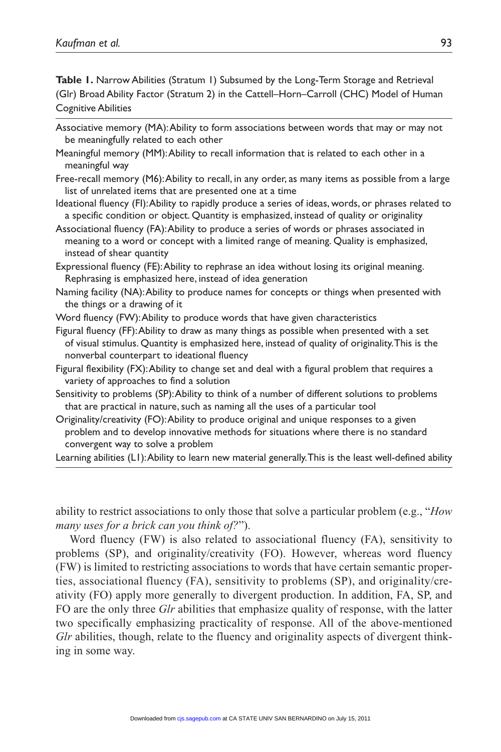**Table 1.** Narrow Abilities (Stratum 1) Subsumed by the Long-Term Storage and Retrieval (Glr) Broad Ability Factor (Stratum 2) in the Cattell–Horn–Carroll (CHC) Model of Human Cognitive Abilities

- Associative memory (MA): Ability to form associations between words that may or may not be meaningfully related to each other
- Meaningful memory (MM): Ability to recall information that is related to each other in a meaningful way
- Free-recall memory (M6): Ability to recall, in any order, as many items as possible from a large list of unrelated items that are presented one at a time
- Ideational fluency (FI): Ability to rapidly produce a series of ideas, words, or phrases related to a specific condition or object. Quantity is emphasized, instead of quality or originality
- Associational fluency (FA): Ability to produce a series of words or phrases associated in meaning to a word or concept with a limited range of meaning. Quality is emphasized, instead of shear quantity
- Expressional fluency (FE): Ability to rephrase an idea without losing its original meaning. Rephrasing is emphasized here, instead of idea generation
- Naming facility (NA): Ability to produce names for concepts or things when presented with the things or a drawing of it
- Word fluency (FW): Ability to produce words that have given characteristics
- Figural fluency (FF): Ability to draw as many things as possible when presented with a set of visual stimulus. Quantity is emphasized here, instead of quality of originality. This is the nonverbal counterpart to ideational fluency
- Figural flexibility (FX): Ability to change set and deal with a figural problem that requires a variety of approaches to find a solution
- Sensitivity to problems (SP): Ability to think of a number of different solutions to problems that are practical in nature, such as naming all the uses of a particular tool
- Originality/creativity (FO): Ability to produce original and unique responses to a given problem and to develop innovative methods for situations where there is no standard convergent way to solve a problem
- Learning abilities (L1): Ability to learn new material generally. This is the least well-defined ability

ability to restrict associations to only those that solve a particular problem (e.g., "*How many uses for a brick can you think of?*").

Word fluency (FW) is also related to associational fluency (FA), sensitivity to problems (SP), and originality/creativity (FO). However, whereas word fluency (FW) is limited to restricting associations to words that have certain semantic properties, associational fluency (FA), sensitivity to problems (SP), and originality/creativity (FO) apply more generally to divergent production. In addition, FA, SP, and FO are the only three *Glr* abilities that emphasize quality of response, with the latter two specifically emphasizing practicality of response. All of the above-mentioned *Glr* abilities, though, relate to the fluency and originality aspects of divergent thinking in some way.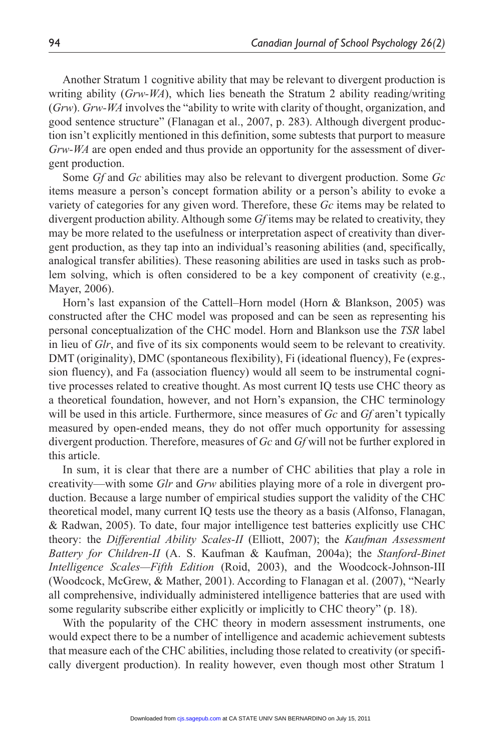Another Stratum 1 cognitive ability that may be relevant to divergent production is writing ability  $(Grw-WA)$ , which lies beneath the Stratum 2 ability reading/writing (*Grw*). *Grw-WA* involves the "ability to write with clarity of thought, organization, and good sentence structure" (Flanagan et al., 2007, p. 283). Although divergent production isn't explicitly mentioned in this definition, some subtests that purport to measure *Grw-WA* are open ended and thus provide an opportunity for the assessment of divergent production.

Some *Gf* and *Gc* abilities may also be relevant to divergent production. Some *Gc* items measure a person's concept formation ability or a person's ability to evoke a variety of categories for any given word. Therefore, these *Gc* items may be related to divergent production ability. Although some *Gf* items may be related to creativity, they may be more related to the usefulness or interpretation aspect of creativity than divergent production, as they tap into an individual's reasoning abilities (and, specifically, analogical transfer abilities). These reasoning abilities are used in tasks such as problem solving, which is often considered to be a key component of creativity (e.g., Mayer, 2006).

Horn's last expansion of the Cattell–Horn model (Horn & Blankson, 2005) was constructed after the CHC model was proposed and can be seen as representing his personal conceptualization of the CHC model. Horn and Blankson use the *TSR* label in lieu of *Glr*, and five of its six components would seem to be relevant to creativity. DMT (originality), DMC (spontaneous flexibility), Fi (ideational fluency), Fe (expression fluency), and Fa (association fluency) would all seem to be instrumental cognitive processes related to creative thought. As most current IQ tests use CHC theory as a theoretical foundation, however, and not Horn's expansion, the CHC terminology will be used in this article. Furthermore, since measures of *Gc* and *Gf* aren't typically measured by open-ended means, they do not offer much opportunity for assessing divergent production. Therefore, measures of *Gc* and *Gf* will not be further explored in this article.

In sum, it is clear that there are a number of CHC abilities that play a role in creativity—with some *Glr* and *Grw* abilities playing more of a role in divergent production. Because a large number of empirical studies support the validity of the CHC theoretical model, many current IQ tests use the theory as a basis (Alfonso, Flanagan, & Radwan, 2005). To date, four major intelligence test batteries explicitly use CHC theory: the *Differential Ability Scales-II* (Elliott, 2007); the *Kaufman Assessment Battery for Children-II* (A. S. Kaufman & Kaufman, 2004a); the *Stanford-Binet Intelligence Scales—Fifth Edition* (Roid, 2003), and the Woodcock-Johnson-III (Woodcock, McGrew, & Mather, 2001). According to Flanagan et al. (2007), "Nearly all comprehensive, individually administered intelligence batteries that are used with some regularity subscribe either explicitly or implicitly to CHC theory" (p. 18).

With the popularity of the CHC theory in modern assessment instruments, one would expect there to be a number of intelligence and academic achievement subtests that measure each of the CHC abilities, including those related to creativity (or specifically divergent production). In reality however, even though most other Stratum 1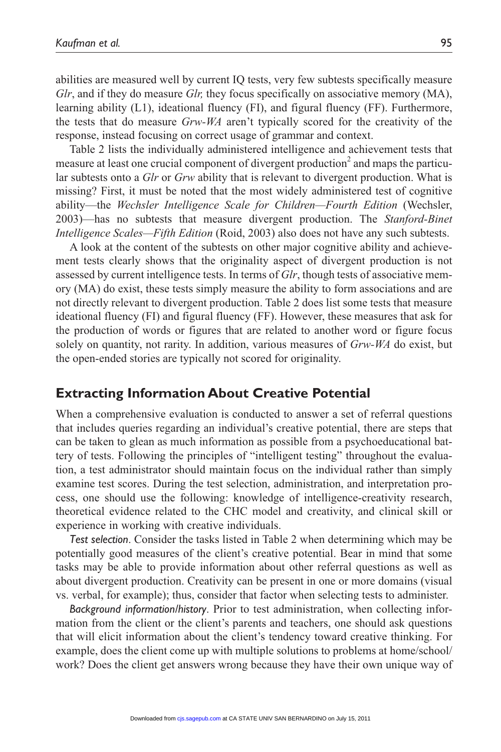abilities are measured well by current IQ tests, very few subtests specifically measure *Glr*, and if they do measure *Glr,* they focus specifically on associative memory (MA), learning ability (L1), ideational fluency (FI), and figural fluency (FF). Furthermore, the tests that do measure *Grw-WA* aren't typically scored for the creativity of the response, instead focusing on correct usage of grammar and context.

Table 2 lists the individually administered intelligence and achievement tests that measure at least one crucial component of divergent production<sup>2</sup> and maps the particular subtests onto a *Glr* or *Grw* ability that is relevant to divergent production. What is missing? First, it must be noted that the most widely administered test of cognitive ability—the *Wechsler Intelligence Scale for Children—Fourth Edition* (Wechsler, 2003)—has no subtests that measure divergent production. The *Stanford-Binet Intelligence Scales—Fifth Edition* (Roid, 2003) also does not have any such subtests.

A look at the content of the subtests on other major cognitive ability and achievement tests clearly shows that the originality aspect of divergent production is not assessed by current intelligence tests. In terms of *Glr*, though tests of associative memory (MA) do exist, these tests simply measure the ability to form associations and are not directly relevant to divergent production. Table 2 does list some tests that measure ideational fluency (FI) and figural fluency (FF). However, these measures that ask for the production of words or figures that are related to another word or figure focus solely on quantity, not rarity. In addition, various measures of *Grw-WA* do exist, but the open-ended stories are typically not scored for originality.

## **Extracting Information About Creative Potential**

When a comprehensive evaluation is conducted to answer a set of referral questions that includes queries regarding an individual's creative potential, there are steps that can be taken to glean as much information as possible from a psychoeducational battery of tests. Following the principles of "intelligent testing" throughout the evaluation, a test administrator should maintain focus on the individual rather than simply examine test scores. During the test selection, administration, and interpretation process, one should use the following: knowledge of intelligence-creativity research, theoretical evidence related to the CHC model and creativity, and clinical skill or experience in working with creative individuals.

*Test selection*. Consider the tasks listed in Table 2 when determining which may be potentially good measures of the client's creative potential. Bear in mind that some tasks may be able to provide information about other referral questions as well as about divergent production. Creativity can be present in one or more domains (visual vs. verbal, for example); thus, consider that factor when selecting tests to administer.

*Background information/history*. Prior to test administration, when collecting information from the client or the client's parents and teachers, one should ask questions that will elicit information about the client's tendency toward creative thinking. For example, does the client come up with multiple solutions to problems at home/school/ work? Does the client get answers wrong because they have their own unique way of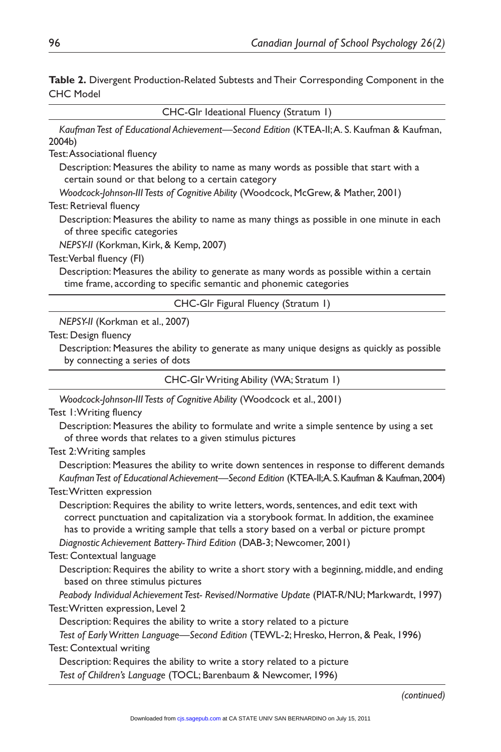**Table 2.** Divergent Production-Related Subtests and Their Corresponding Component in the CHC Model

CHC-Glr Ideational Fluency (Stratum 1)

*Kaufman Test of Educational Achievement—Second Edition* (KTEA-II; A. S. Kaufman & Kaufman, 2004b)

Test: Associational fluency

 Description: Measures the ability to name as many words as possible that start with a certain sound or that belong to a certain category

*Woodcock-Johnson-III Tests of Cognitive Ability* (Woodcock, McGrew, & Mather, 2001)

#### Test: Retrieval fluency

 Description: Measures the ability to name as many things as possible in one minute in each of three specific categories

*NEPSY-II* (Korkman, Kirk, & Kemp, 2007)

Test: Verbal fluency (FI)

 Description: Measures the ability to generate as many words as possible within a certain time frame, according to specific semantic and phonemic categories

CHC-Glr Figural Fluency (Stratum 1)

*NEPSY-II* (Korkman et al., 2007)

#### Test: Design fluency

 Description: Measures the ability to generate as many unique designs as quickly as possible by connecting a series of dots

CHC-Glr Writing Ability (WA; Stratum 1)

*Woodcock-Johnson-III Tests of Cognitive Ability* (Woodcock et al., 2001)

#### Test 1: Writing fluency

 Description: Measures the ability to formulate and write a simple sentence by using a set of three words that relates to a given stimulus pictures

#### Test 2: Writing samples

 Description: Measures the ability to write down sentences in response to different demands *Kaufman Test of Educational Achievement—Second Edition* (KTEA-II; A. S. Kaufman & Kaufman, 2004)

#### Test: Written expression

 Description: Requires the ability to write letters, words, sentences, and edit text with correct punctuation and capitalization via a storybook format. In addition, the examinee has to provide a writing sample that tells a story based on a verbal or picture prompt *Diagnostic Achievement Battery- Third Edition* (DAB-3; Newcomer, 2001)

#### Test: Contextual language

 Description: Requires the ability to write a short story with a beginning, middle, and ending based on three stimulus pictures

*Peabody Individual Achievement Test- Revised/Normative Update* (PIAT-R/NU; Markwardt, 1997) Test: Written expression, Level 2

Description: Requires the ability to write a story related to a picture

*Test of Early Written Language—Second Edition* (TEWL-2; Hresko, Herron, & Peak, 1996)

Test: Contextual writing

Description: Requires the ability to write a story related to a picture *Test of Children's Language* (TOCL; Barenbaum & Newcomer, 1996)

*(continued)*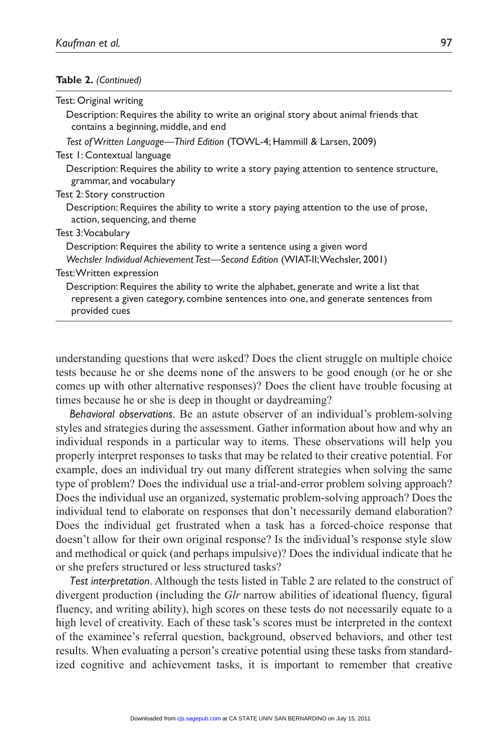#### **Table 2.** *(Continued)*

| Test: Original writing                                                                                                                                                                          |
|-------------------------------------------------------------------------------------------------------------------------------------------------------------------------------------------------|
| Description: Requires the ability to write an original story about animal friends that<br>contains a beginning, middle, and end                                                                 |
| Test of Written Language—Third Edition (TOWL-4; Hammill & Larsen, 2009)                                                                                                                         |
| Test 1: Contextual language                                                                                                                                                                     |
| Description: Requires the ability to write a story paying attention to sentence structure,<br>grammar, and vocabulary                                                                           |
| Test 2: Story construction                                                                                                                                                                      |
| Description: Requires the ability to write a story paying attention to the use of prose,<br>action, sequencing, and theme                                                                       |
| Test 3: Vocabulary                                                                                                                                                                              |
| Description: Requires the ability to write a sentence using a given word                                                                                                                        |
| Wechsler Individual Achievement Test—Second Edition (WIAT-II; Wechsler, 2001)                                                                                                                   |
| Test: Written expression                                                                                                                                                                        |
| Description: Requires the ability to write the alphabet, generate and write a list that<br>represent a given category, combine sentences into one, and generate sentences from<br>provided cues |
|                                                                                                                                                                                                 |

understanding questions that were asked? Does the client struggle on multiple choice tests because he or she deems none of the answers to be good enough (or he or she comes up with other alternative responses)? Does the client have trouble focusing at times because he or she is deep in thought or daydreaming?

*Behavioral observations*. Be an astute observer of an individual's problem-solving styles and strategies during the assessment. Gather information about how and why an individual responds in a particular way to items. These observations will help you properly interpret responses to tasks that may be related to their creative potential. For example, does an individual try out many different strategies when solving the same type of problem? Does the individual use a trial-and-error problem solving approach? Does the individual use an organized, systematic problem-solving approach? Does the individual tend to elaborate on responses that don't necessarily demand elaboration? Does the individual get frustrated when a task has a forced-choice response that doesn't allow for their own original response? Is the individual's response style slow and methodical or quick (and perhaps impulsive)? Does the individual indicate that he or she prefers structured or less structured tasks?

*Test interpretation*. Although the tests listed in Table 2 are related to the construct of divergent production (including the *Glr* narrow abilities of ideational fluency, figural fluency, and writing ability), high scores on these tests do not necessarily equate to a high level of creativity. Each of these task's scores must be interpreted in the context of the examinee's referral question, background, observed behaviors, and other test results. When evaluating a person's creative potential using these tasks from standardized cognitive and achievement tasks, it is important to remember that creative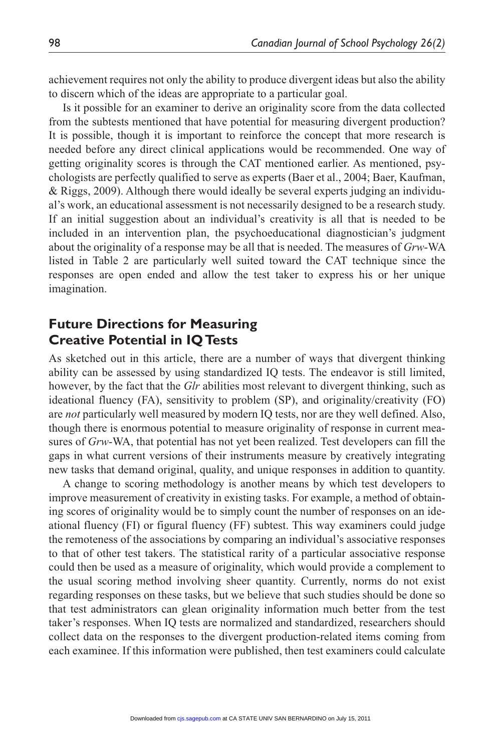achievement requires not only the ability to produce divergent ideas but also the ability to discern which of the ideas are appropriate to a particular goal.

Is it possible for an examiner to derive an originality score from the data collected from the subtests mentioned that have potential for measuring divergent production? It is possible, though it is important to reinforce the concept that more research is needed before any direct clinical applications would be recommended. One way of getting originality scores is through the CAT mentioned earlier. As mentioned, psychologists are perfectly qualified to serve as experts (Baer et al., 2004; Baer, Kaufman, & Riggs, 2009). Although there would ideally be several experts judging an individual's work, an educational assessment is not necessarily designed to be a research study. If an initial suggestion about an individual's creativity is all that is needed to be included in an intervention plan, the psychoeducational diagnostician's judgment about the originality of a response may be all that is needed. The measures of *Grw*-WA listed in Table 2 are particularly well suited toward the CAT technique since the responses are open ended and allow the test taker to express his or her unique imagination.

## **Future Directions for Measuring Creative Potential in IQ Tests**

As sketched out in this article, there are a number of ways that divergent thinking ability can be assessed by using standardized IQ tests. The endeavor is still limited, however, by the fact that the *Glr* abilities most relevant to divergent thinking, such as ideational fluency (FA), sensitivity to problem (SP), and originality/creativity (FO) are *not* particularly well measured by modern IQ tests, nor are they well defined. Also, though there is enormous potential to measure originality of response in current measures of *Grw*-WA, that potential has not yet been realized. Test developers can fill the gaps in what current versions of their instruments measure by creatively integrating new tasks that demand original, quality, and unique responses in addition to quantity.

A change to scoring methodology is another means by which test developers to improve measurement of creativity in existing tasks. For example, a method of obtaining scores of originality would be to simply count the number of responses on an ideational fluency (FI) or figural fluency (FF) subtest. This way examiners could judge the remoteness of the associations by comparing an individual's associative responses to that of other test takers. The statistical rarity of a particular associative response could then be used as a measure of originality, which would provide a complement to the usual scoring method involving sheer quantity. Currently, norms do not exist regarding responses on these tasks, but we believe that such studies should be done so that test administrators can glean originality information much better from the test taker's responses. When IQ tests are normalized and standardized, researchers should collect data on the responses to the divergent production-related items coming from each examinee. If this information were published, then test examiners could calculate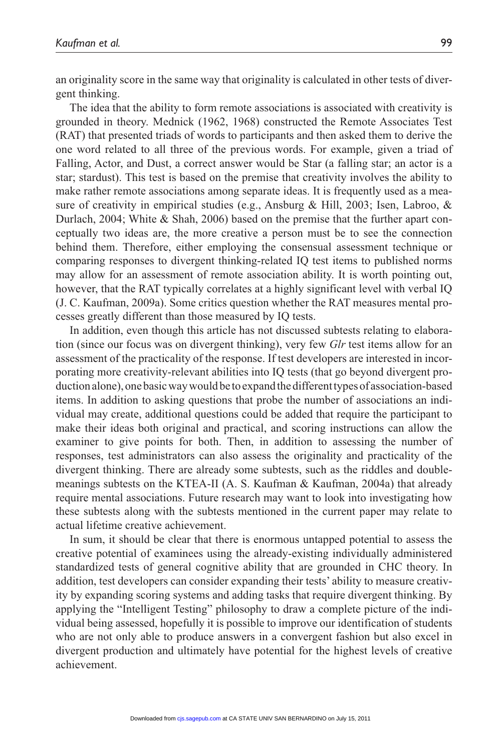an originality score in the same way that originality is calculated in other tests of divergent thinking.

The idea that the ability to form remote associations is associated with creativity is grounded in theory. Mednick (1962, 1968) constructed the Remote Associates Test (RAT) that presented triads of words to participants and then asked them to derive the one word related to all three of the previous words. For example, given a triad of Falling, Actor, and Dust, a correct answer would be Star (a falling star; an actor is a star; stardust). This test is based on the premise that creativity involves the ability to make rather remote associations among separate ideas. It is frequently used as a measure of creativity in empirical studies (e.g., Ansburg & Hill, 2003; Isen, Labroo, & Durlach, 2004; White & Shah, 2006) based on the premise that the further apart conceptually two ideas are, the more creative a person must be to see the connection behind them. Therefore, either employing the consensual assessment technique or comparing responses to divergent thinking-related IQ test items to published norms may allow for an assessment of remote association ability. It is worth pointing out, however, that the RAT typically correlates at a highly significant level with verbal IQ (J. C. Kaufman, 2009a). Some critics question whether the RAT measures mental processes greatly different than those measured by IQ tests.

In addition, even though this article has not discussed subtests relating to elaboration (since our focus was on divergent thinking), very few *Glr* test items allow for an assessment of the practicality of the response. If test developers are interested in incorporating more creativity-relevant abilities into IQ tests (that go beyond divergent production alone), one basic way would be to expand the different types of association-based items. In addition to asking questions that probe the number of associations an individual may create, additional questions could be added that require the participant to make their ideas both original and practical, and scoring instructions can allow the examiner to give points for both. Then, in addition to assessing the number of responses, test administrators can also assess the originality and practicality of the divergent thinking. There are already some subtests, such as the riddles and doublemeanings subtests on the KTEA-II (A. S. Kaufman & Kaufman, 2004a) that already require mental associations. Future research may want to look into investigating how these subtests along with the subtests mentioned in the current paper may relate to actual lifetime creative achievement.

In sum, it should be clear that there is enormous untapped potential to assess the creative potential of examinees using the already-existing individually administered standardized tests of general cognitive ability that are grounded in CHC theory. In addition, test developers can consider expanding their tests' ability to measure creativity by expanding scoring systems and adding tasks that require divergent thinking. By applying the "Intelligent Testing" philosophy to draw a complete picture of the individual being assessed, hopefully it is possible to improve our identification of students who are not only able to produce answers in a convergent fashion but also excel in divergent production and ultimately have potential for the highest levels of creative achievement.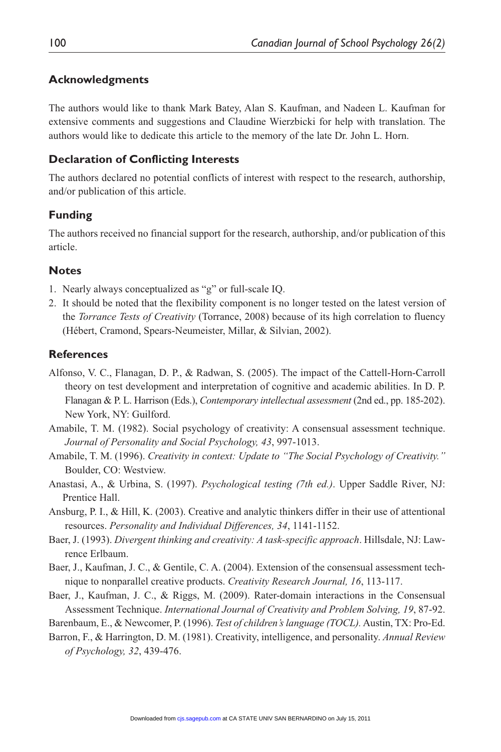#### **Acknowledgments**

The authors would like to thank Mark Batey, Alan S. Kaufman, and Nadeen L. Kaufman for extensive comments and suggestions and Claudine Wierzbicki for help with translation. The authors would like to dedicate this article to the memory of the late Dr. John L. Horn.

#### **Declaration of Conflicting Interests**

The authors declared no potential conflicts of interest with respect to the research, authorship, and/or publication of this article.

#### **Funding**

The authors received no financial support for the research, authorship, and/or publication of this article.

#### **Notes**

- 1. Nearly always conceptualized as "g" or full-scale IQ.
- 2. It should be noted that the flexibility component is no longer tested on the latest version of the *Torrance Tests of Creativity* (Torrance, 2008) because of its high correlation to fluency (Hébert, Cramond, Spears-Neumeister, Millar, & Silvian, 2002).

#### **References**

- Alfonso, V. C., Flanagan, D. P., & Radwan, S. (2005). The impact of the Cattell-Horn-Carroll theory on test development and interpretation of cognitive and academic abilities. In D. P. Flanagan & P. L. Harrison (Eds.), *Contemporary intellectual assessment* (2nd ed., pp. 185-202). New York, NY: Guilford.
- Amabile, T. M. (1982). Social psychology of creativity: A consensual assessment technique. *Journal of Personality and Social Psychology, 43*, 997-1013.
- Amabile, T. M. (1996). *Creativity in context: Update to "The Social Psychology of Creativity."* Boulder, CO: Westview.
- Anastasi, A., & Urbina, S. (1997). *Psychological testing (7th ed.)*. Upper Saddle River, NJ: Prentice Hall.
- Ansburg, P. I., & Hill, K. (2003). Creative and analytic thinkers differ in their use of attentional resources. *Personality and Individual Differences, 34*, 1141-1152.
- Baer, J. (1993). *Divergent thinking and creativity: A task-specific approach*. Hillsdale, NJ: Lawrence Erlbaum.
- Baer, J., Kaufman, J. C., & Gentile, C. A. (2004). Extension of the consensual assessment technique to nonparallel creative products. *Creativity Research Journal, 16*, 113-117.
- Baer, J., Kaufman, J. C., & Riggs, M. (2009). Rater-domain interactions in the Consensual Assessment Technique. *International Journal of Creativity and Problem Solving, 19*, 87-92.
- Barenbaum, E., & Newcomer, P. (1996). *Test of children's language (TOCL).* Austin, TX: Pro-Ed.
- Barron, F., & Harrington, D. M. (1981). Creativity, intelligence, and personality. *Annual Review of Psychology, 32*, 439-476.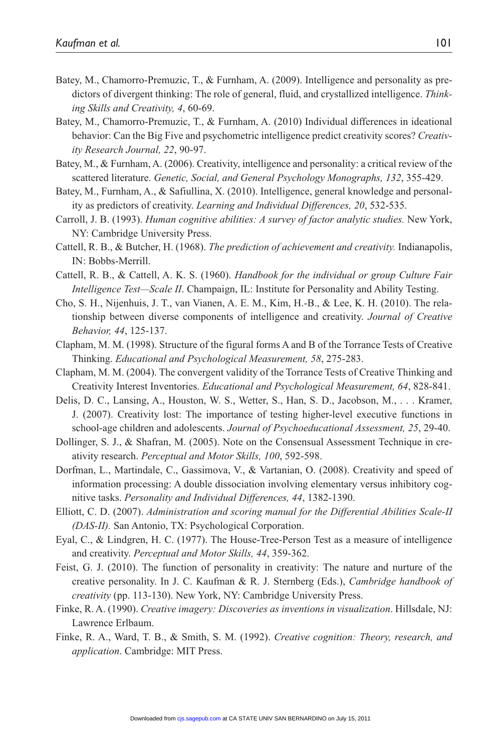- Batey, M., Chamorro-Premuzic, T., & Furnham, A. (2009). Intelligence and personality as predictors of divergent thinking: The role of general, fluid, and crystallized intelligence. *Thinking Skills and Creativity, 4*, 60-69.
- Batey, M., Chamorro-Premuzic, T., & Furnham, A. (2010) Individual differences in ideational behavior: Can the Big Five and psychometric intelligence predict creativity scores? *Creativity Research Journal, 22*, 90-97.
- Batey, M., & Furnham, A. (2006). Creativity, intelligence and personality: a critical review of the scattered literature. *Genetic, Social, and General Psychology Monographs, 132*, 355-429.
- Batey, M., Furnham, A., & Safiullina, X. (2010). Intelligence, general knowledge and personality as predictors of creativity. *Learning and Individual Differences, 20*, 532-535.
- Carroll, J. B. (1993). *Human cognitive abilities: A survey of factor analytic studies.* New York, NY: Cambridge University Press.
- Cattell, R. B., & Butcher, H. (1968). *The prediction of achievement and creativity.* Indianapolis, IN: Bobbs-Merrill.
- Cattell, R. B., & Cattell, A. K. S. (1960). *Handbook for the individual or group Culture Fair Intelligence Test—Scale II*. Champaign, IL: Institute for Personality and Ability Testing.
- Cho, S. H., Nijenhuis, J. T., van Vianen, A. E. M., Kim, H.-B., & Lee, K. H. (2010). The relationship between diverse components of intelligence and creativity. *Journal of Creative Behavior, 44*, 125-137.
- Clapham, M. M. (1998). Structure of the figural forms A and B of the Torrance Tests of Creative Thinking. *Educational and Psychological Measurement, 58*, 275-283.
- Clapham, M. M. (2004). The convergent validity of the Torrance Tests of Creative Thinking and Creativity Interest Inventories. *Educational and Psychological Measurement, 64*, 828-841.
- Delis, D. C., Lansing, A., Houston, W. S., Wetter, S., Han, S. D., Jacobson, M., . . . Kramer, J. (2007). Creativity lost: The importance of testing higher-level executive functions in school-age children and adolescents. *Journal of Psychoeducational Assessment, 25*, 29-40.
- Dollinger, S. J., & Shafran, M. (2005). Note on the Consensual Assessment Technique in creativity research. *Perceptual and Motor Skills, 100*, 592-598.
- Dorfman, L., Martindale, C., Gassimova, V., & Vartanian, O. (2008). Creativity and speed of information processing: A double dissociation involving elementary versus inhibitory cognitive tasks. *Personality and Individual Differences, 44*, 1382-1390.
- Elliott, C. D. (2007). *Administration and scoring manual for the Differential Abilities Scale-II (DAS-II).* San Antonio, TX: Psychological Corporation.
- Eyal, C., & Lindgren, H. C. (1977). The House-Tree-Person Test as a measure of intelligence and creativity. *Perceptual and Motor Skills, 44*, 359-362.
- Feist, G. J. (2010). The function of personality in creativity: The nature and nurture of the creative personality. In J. C. Kaufman & R. J. Sternberg (Eds.), *Cambridge handbook of creativity* (pp. 113-130). New York, NY: Cambridge University Press.
- Finke, R. A. (1990). *Creative imagery: Discoveries as inventions in visualization*. Hillsdale, NJ: Lawrence Erlbaum.
- Finke, R. A., Ward, T. B., & Smith, S. M. (1992). *Creative cognition: Theory, research, and application*. Cambridge: MIT Press.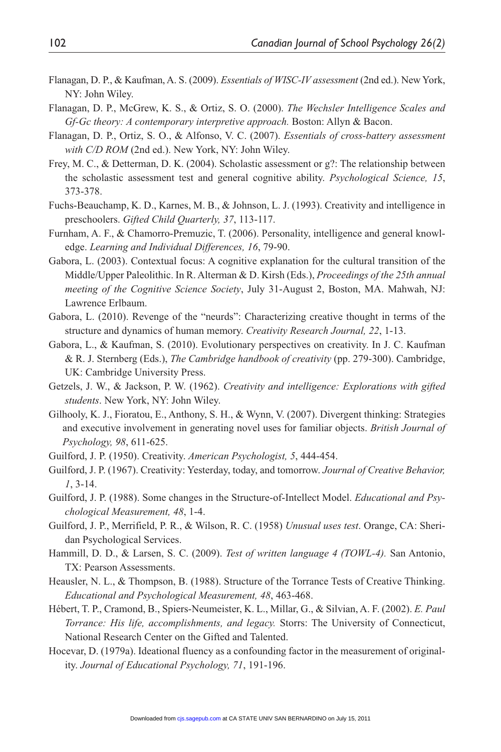- Flanagan, D. P., & Kaufman, A. S. (2009). *Essentials of WISC-IV assessment* (2nd ed.). New York, NY: John Wiley.
- Flanagan, D. P., McGrew, K. S., & Ortiz, S. O. (2000). *The Wechsler Intelligence Scales and Gf-Gc theory: A contemporary interpretive approach.* Boston: Allyn & Bacon.
- Flanagan, D. P., Ortiz, S. O., & Alfonso, V. C. (2007). *Essentials of cross-battery assessment with C/D ROM* (2nd ed.). New York, NY: John Wiley.
- Frey, M. C., & Detterman, D. K. (2004). Scholastic assessment or g?: The relationship between the scholastic assessment test and general cognitive ability. *Psychological Science, 15*, 373-378.
- Fuchs-Beauchamp, K. D., Karnes, M. B., & Johnson, L. J. (1993). Creativity and intelligence in preschoolers. *Gifted Child Quarterly, 37*, 113-117.
- Furnham, A. F., & Chamorro-Premuzic, T. (2006). Personality, intelligence and general knowledge. *Learning and Individual Differences, 16*, 79-90.
- Gabora, L. (2003). Contextual focus: A cognitive explanation for the cultural transition of the Middle/Upper Paleolithic. In R. Alterman & D. Kirsh (Eds.), *Proceedings of the 25th annual meeting of the Cognitive Science Society*, July 31-August 2, Boston, MA. Mahwah, NJ: Lawrence Erlbaum.
- Gabora, L. (2010). Revenge of the "neurds": Characterizing creative thought in terms of the structure and dynamics of human memory. *Creativity Research Journal, 22*, 1-13.
- Gabora, L., & Kaufman, S. (2010). Evolutionary perspectives on creativity. In J. C. Kaufman & R. J. Sternberg (Eds.), *The Cambridge handbook of creativity* (pp. 279-300). Cambridge, UK: Cambridge University Press.
- Getzels, J. W., & Jackson, P. W. (1962). *Creativity and intelligence: Explorations with gifted students*. New York, NY: John Wiley.
- Gilhooly, K. J., Fioratou, E., Anthony, S. H., & Wynn, V. (2007). Divergent thinking: Strategies and executive involvement in generating novel uses for familiar objects. *British Journal of Psychology, 98*, 611-625.
- Guilford, J. P. (1950). Creativity. *American Psychologist, 5*, 444-454.
- Guilford, J. P. (1967). Creativity: Yesterday, today, and tomorrow. *Journal of Creative Behavior, 1*, 3-14.
- Guilford, J. P. (1988). Some changes in the Structure-of-Intellect Model. *Educational and Psychological Measurement, 48*, 1-4.
- Guilford, J. P., Merrifield, P. R., & Wilson, R. C. (1958) *Unusual uses test*. Orange, CA: Sheridan Psychological Services.
- Hammill, D. D., & Larsen, S. C. (2009). *Test of written language 4 (TOWL-4).* San Antonio, TX: Pearson Assessments.
- Heausler, N. L., & Thompson, B. (1988). Structure of the Torrance Tests of Creative Thinking. *Educational and Psychological Measurement, 48*, 463-468.
- Hébert, T. P., Cramond, B., Spiers-Neumeister, K. L., Millar, G., & Silvian, A. F. (2002). *E. Paul Torrance: His life, accomplishments, and legacy.* Storrs: The University of Connecticut, National Research Center on the Gifted and Talented.
- Hocevar, D. (1979a). Ideational fluency as a confounding factor in the measurement of originality. *Journal of Educational Psychology, 71*, 191-196.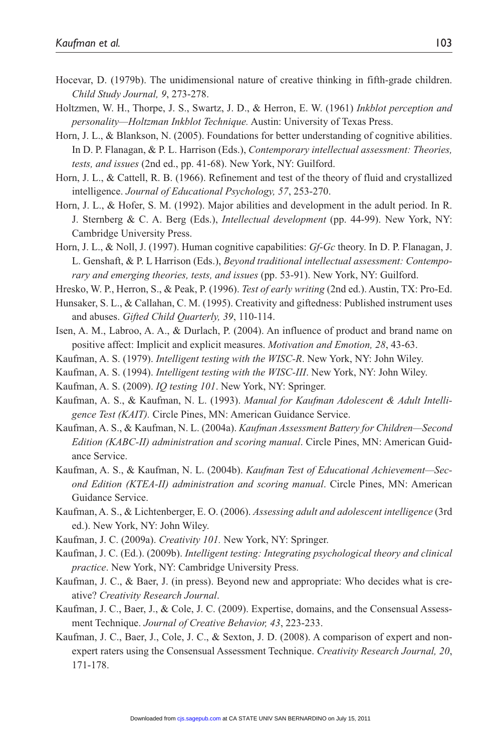- Hocevar, D. (1979b). The unidimensional nature of creative thinking in fifth-grade children. *Child Study Journal, 9*, 273-278.
- Holtzmen, W. H., Thorpe, J. S., Swartz, J. D., & Herron, E. W. (1961) *Inkblot perception and personality—Holtzman Inkblot Technique.* Austin: University of Texas Press.
- Horn, J. L., & Blankson, N. (2005). Foundations for better understanding of cognitive abilities. In D. P. Flanagan, & P. L. Harrison (Eds.), *Contemporary intellectual assessment: Theories, tests, and issues* (2nd ed., pp. 41-68). New York, NY: Guilford.
- Horn, J. L., & Cattell, R. B. (1966). Refinement and test of the theory of fluid and crystallized intelligence. *Journal of Educational Psychology, 57*, 253-270.
- Horn, J. L., & Hofer, S. M. (1992). Major abilities and development in the adult period. In R. J. Sternberg & C. A. Berg (Eds.), *Intellectual development* (pp. 44-99). New York, NY: Cambridge University Press.
- Horn, J. L., & Noll, J. (1997). Human cognitive capabilities: *Gf*-*Gc* theory. In D. P. Flanagan, J. L. Genshaft, & P. L Harrison (Eds.), *Beyond traditional intellectual assessment: Contemporary and emerging theories, tests, and issues* (pp. 53-91). New York, NY: Guilford.
- Hresko, W. P., Herron, S., & Peak, P. (1996). *Test of early writing* (2nd ed.). Austin, TX: Pro-Ed.
- Hunsaker, S. L., & Callahan, C. M. (1995). Creativity and giftedness: Published instrument uses and abuses. *Gifted Child Quarterly, 39*, 110-114.
- Isen, A. M., Labroo, A. A., & Durlach, P. (2004). An influence of product and brand name on positive affect: Implicit and explicit measures. *Motivation and Emotion, 28*, 43-63.
- Kaufman, A. S. (1979). *Intelligent testing with the WISC-R*. New York, NY: John Wiley.
- Kaufman, A. S. (1994). *Intelligent testing with the WISC-III*. New York, NY: John Wiley.
- Kaufman, A. S. (2009). *IQ testing 101*. New York, NY: Springer.
- Kaufman, A. S., & Kaufman, N. L. (1993). *Manual for Kaufman Adolescent & Adult Intelligence Test (KAIT).* Circle Pines, MN: American Guidance Service.
- Kaufman, A. S., & Kaufman, N. L. (2004a). *Kaufman Assessment Battery for Children—Second Edition (KABC-II) administration and scoring manual*. Circle Pines, MN: American Guidance Service.
- Kaufman, A. S., & Kaufman, N. L. (2004b). *Kaufman Test of Educational Achievement—Second Edition (KTEA-II) administration and scoring manual*. Circle Pines, MN: American Guidance Service.
- Kaufman, A. S., & Lichtenberger, E. O. (2006). *Assessing adult and adolescent intelligence* (3rd ed.). New York, NY: John Wiley.
- Kaufman, J. C. (2009a). *Creativity 101.* New York, NY: Springer.
- Kaufman, J. C. (Ed.). (2009b). *Intelligent testing: Integrating psychological theory and clinical practice*. New York, NY: Cambridge University Press.
- Kaufman, J. C., & Baer, J. (in press). Beyond new and appropriate: Who decides what is creative? *Creativity Research Journal*.
- Kaufman, J. C., Baer, J., & Cole, J. C. (2009). Expertise, domains, and the Consensual Assessment Technique. *Journal of Creative Behavior, 43*, 223-233.
- Kaufman, J. C., Baer, J., Cole, J. C., & Sexton, J. D. (2008). A comparison of expert and nonexpert raters using the Consensual Assessment Technique. *Creativity Research Journal, 20*, 171-178.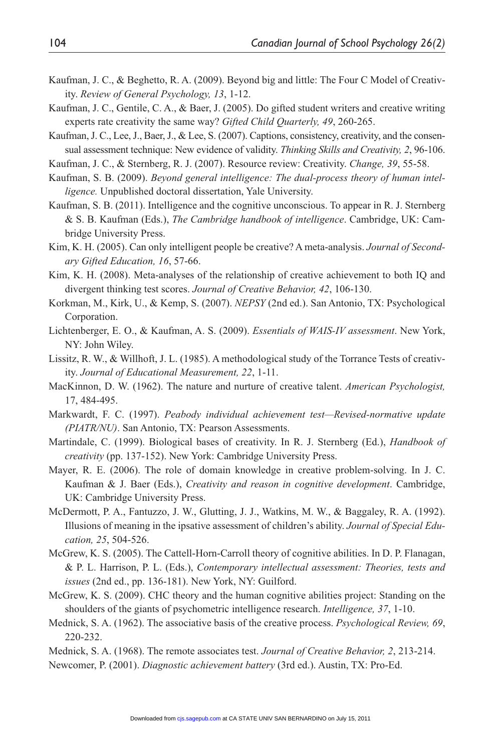- Kaufman, J. C., & Beghetto, R. A. (2009). Beyond big and little: The Four C Model of Creativity. *Review of General Psychology, 13*, 1-12.
- Kaufman, J. C., Gentile, C. A., & Baer, J. (2005). Do gifted student writers and creative writing experts rate creativity the same way? *Gifted Child Quarterly, 49*, 260-265.
- Kaufman, J. C., Lee, J., Baer, J., & Lee, S. (2007). Captions, consistency, creativity, and the consensual assessment technique: New evidence of validity. *Thinking Skills and Creativity, 2*, 96-106.
- Kaufman, J. C., & Sternberg, R. J. (2007). Resource review: Creativity. *Change, 39*, 55-58.
- Kaufman, S. B. (2009). *Beyond general intelligence: The dual-process theory of human intelligence.* Unpublished doctoral dissertation, Yale University.
- Kaufman, S. B. (2011). Intelligence and the cognitive unconscious. To appear in R. J. Sternberg & S. B. Kaufman (Eds.), *The Cambridge handbook of intelligence*. Cambridge, UK: Cambridge University Press.
- Kim, K. H. (2005). Can only intelligent people be creative? A meta-analysis. *Journal of Secondary Gifted Education, 16*, 57-66.
- Kim, K. H. (2008). Meta-analyses of the relationship of creative achievement to both IQ and divergent thinking test scores. *Journal of Creative Behavior, 42*, 106-130.
- Korkman, M., Kirk, U., & Kemp, S. (2007). *NEPSY* (2nd ed.). San Antonio, TX: Psychological Corporation.
- Lichtenberger, E. O., & Kaufman, A. S. (2009). *Essentials of WAIS-IV assessment*. New York, NY: John Wiley.
- Lissitz, R. W., & Willhoft, J. L. (1985). A methodological study of the Torrance Tests of creativity. *Journal of Educational Measurement, 22*, 1-11.
- MacKinnon, D. W. (1962). The nature and nurture of creative talent. *American Psychologist,* 17, 484-495.
- Markwardt, F. C. (1997). *Peabody individual achievement test—Revised-normative update (PIATR/NU)*. San Antonio, TX: Pearson Assessments.
- Martindale, C. (1999). Biological bases of creativity. In R. J. Sternberg (Ed.), *Handbook of creativity* (pp. 137-152). New York: Cambridge University Press.
- Mayer, R. E. (2006). The role of domain knowledge in creative problem-solving. In J. C. Kaufman & J. Baer (Eds.), *Creativity and reason in cognitive development*. Cambridge, UK: Cambridge University Press.
- McDermott, P. A., Fantuzzo, J. W., Glutting, J. J., Watkins, M. W., & Baggaley, R. A. (1992). Illusions of meaning in the ipsative assessment of children's ability. *Journal of Special Education, 25*, 504-526.
- McGrew, K. S. (2005). The Cattell-Horn-Carroll theory of cognitive abilities. In D. P. Flanagan, & P. L. Harrison, P. L. (Eds.), *Contemporary intellectual assessment: Theories, tests and issues* (2nd ed., pp. 136-181). New York, NY: Guilford.
- McGrew, K. S. (2009). CHC theory and the human cognitive abilities project: Standing on the shoulders of the giants of psychometric intelligence research. *Intelligence, 37*, 1-10.
- Mednick, S. A. (1962). The associative basis of the creative process. *Psychological Review, 69*, 220-232.
- Mednick, S. A. (1968). The remote associates test. *Journal of Creative Behavior, 2*, 213-214.
- Newcomer, P. (2001). *Diagnostic achievement battery* (3rd ed.). Austin, TX: Pro-Ed.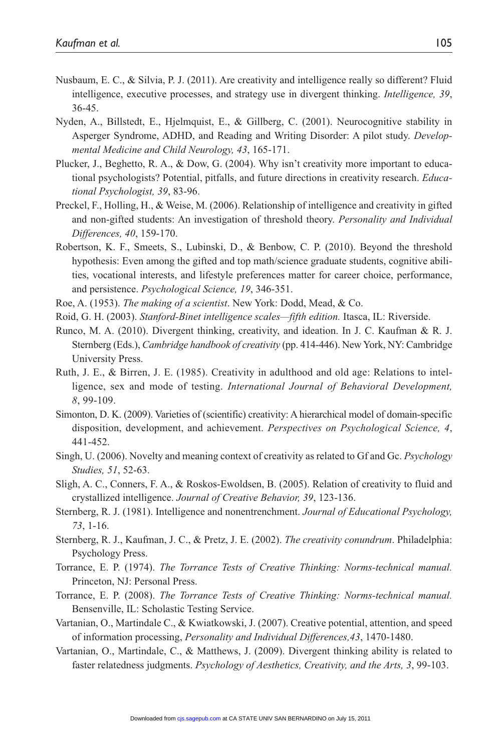- Nusbaum, E. C., & Silvia, P. J. (2011). Are creativity and intelligence really so different? Fluid intelligence, executive processes, and strategy use in divergent thinking. *Intelligence, 39*, 36-45.
- Nyden, A., Billstedt, E., Hjelmquist, E., & Gillberg, C. (2001). Neurocognitive stability in Asperger Syndrome, ADHD, and Reading and Writing Disorder: A pilot study. *Developmental Medicine and Child Neurology, 43*, 165-171.
- Plucker, J., Beghetto, R. A., & Dow, G. (2004). Why isn't creativity more important to educational psychologists? Potential, pitfalls, and future directions in creativity research. *Educational Psychologist, 39*, 83-96.
- Preckel, F., Holling, H., & Weise, M. (2006). Relationship of intelligence and creativity in gifted and non-gifted students: An investigation of threshold theory. *Personality and Individual Differences, 40*, 159-170.
- Robertson, K. F., Smeets, S., Lubinski, D., & Benbow, C. P. (2010). Beyond the threshold hypothesis: Even among the gifted and top math/science graduate students, cognitive abilities, vocational interests, and lifestyle preferences matter for career choice, performance, and persistence. *Psychological Science, 19*, 346-351.
- Roe, A. (1953). *The making of a scientist*. New York: Dodd, Mead, & Co.
- Roid, G. H. (2003). *Stanford-Binet intelligence scales—fifth edition.* Itasca, IL: Riverside.
- Runco, M. A. (2010). Divergent thinking, creativity, and ideation. In J. C. Kaufman & R. J. Sternberg (Eds.), *Cambridge handbook of creativity* (pp. 414-446). New York, NY: Cambridge University Press.
- Ruth, J. E., & Birren, J. E. (1985). Creativity in adulthood and old age: Relations to intelligence, sex and mode of testing. *International Journal of Behavioral Development, 8*, 99-109.
- Simonton, D. K. (2009). Varieties of (scientific) creativity: A hierarchical model of domain-specific disposition, development, and achievement. *Perspectives on Psychological Science, 4*, 441-452.
- Singh, U. (2006). Novelty and meaning context of creativity as related to Gf and Gc. *Psychology Studies, 51*, 52-63.
- Sligh, A. C., Conners, F. A., & Roskos-Ewoldsen, B. (2005). Relation of creativity to fluid and crystallized intelligence. *Journal of Creative Behavior, 39*, 123-136.
- Sternberg, R. J. (1981). Intelligence and nonentrenchment. *Journal of Educational Psychology, 73*, 1-16.
- Sternberg, R. J., Kaufman, J. C., & Pretz, J. E. (2002). *The creativity conundrum*. Philadelphia: Psychology Press.
- Torrance, E. P. (1974). *The Torrance Tests of Creative Thinking: Norms-technical manual.* Princeton, NJ: Personal Press.
- Torrance, E. P. (2008). *The Torrance Tests of Creative Thinking: Norms-technical manual.* Bensenville, IL: Scholastic Testing Service.
- Vartanian, O., Martindale C., & Kwiatkowski, J. (2007). Creative potential, attention, and speed of information processing, *Personality and Individual Differences,43*, 1470-1480.
- Vartanian, O., Martindale, C., & Matthews, J. (2009). Divergent thinking ability is related to faster relatedness judgments. *Psychology of Aesthetics, Creativity, and the Arts, 3*, 99-103.